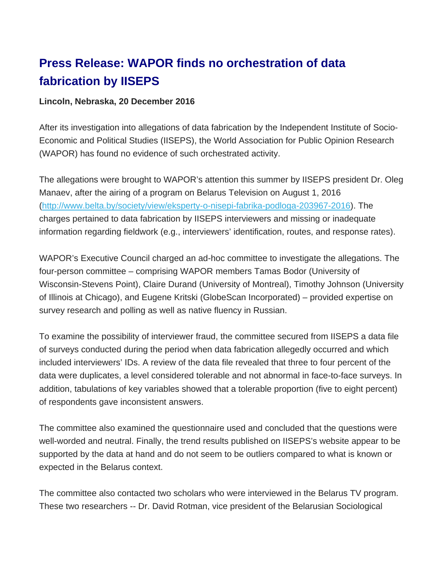## **Press Release: WAPOR finds no orchestration of data fabrication by IISEPS**

## **Lincoln, Nebraska, 20 December 2016**

After its investigation into allegations of data fabrication by the Independent Institute of Socio-Economic and Political Studies (IISEPS), the World Association for Public Opinion Research (WAPOR) has found no evidence of such orchestrated activity.

The allegations were brought to WAPOR's attention this summer by IISEPS president Dr. Oleg Manaev, after the airing of a program on Belarus Television on August 1, 2016 (http://www.belta.by/society/view/eksperty-o-nisepi-fabrika-podloga-203967-2016). The charges pertained to data fabrication by IISEPS interviewers and missing or inadequate information regarding fieldwork (e.g., interviewers' identification, routes, and response rates).

WAPOR's Executive Council charged an ad-hoc committee to investigate the allegations. The four-person committee – comprising WAPOR members Tamas Bodor (University of Wisconsin-Stevens Point), Claire Durand (University of Montreal), Timothy Johnson (University of Illinois at Chicago), and Eugene Kritski (GlobeScan Incorporated) – provided expertise on survey research and polling as well as native fluency in Russian.

To examine the possibility of interviewer fraud, the committee secured from IISEPS a data file of surveys conducted during the period when data fabrication allegedly occurred and which included interviewers' IDs. A review of the data file revealed that three to four percent of the data were duplicates, a level considered tolerable and not abnormal in face-to-face surveys. In addition, tabulations of key variables showed that a tolerable proportion (five to eight percent) of respondents gave inconsistent answers.

The committee also examined the questionnaire used and concluded that the questions were well-worded and neutral. Finally, the trend results published on IISEPS's website appear to be supported by the data at hand and do not seem to be outliers compared to what is known or expected in the Belarus context.

The committee also contacted two scholars who were interviewed in the Belarus TV program. These two researchers -- Dr. David Rotman, vice president of the Belarusian Sociological